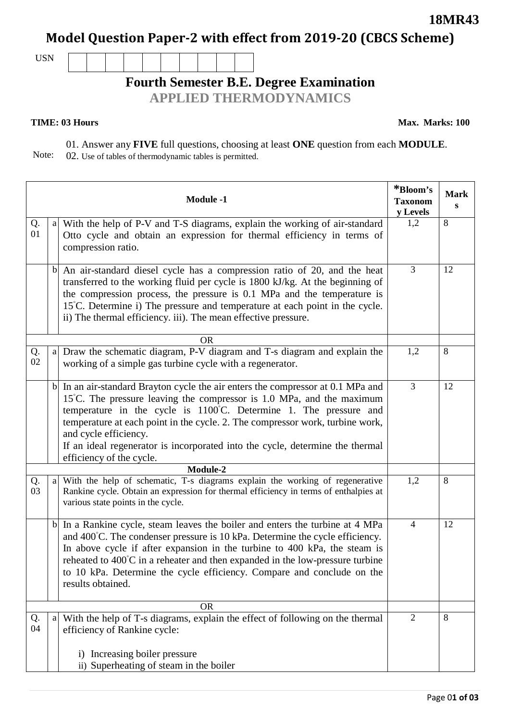**Model Question Paper-2 with effect from 2019-20 (CBCS Scheme)**

USN

## **Fourth Semester B.E. Degree Examination**

**APPLIED THERMODYNAMICS**

## **TIME: 03 Hours**

**Max. Marks: 100**

Note: 01. Answer any **FIVE** full questions, choosing at least **ONE** question from each **MODULE**. 02. Use of tables of thermodynamic tables is permitted.

| <b>Module -1</b> |              |                                                                                                                                                                                                                                                                                                                                                                                                                                                                            | *Bloom's<br><b>Taxonom</b><br>y Levels | <b>Mark</b><br>S |
|------------------|--------------|----------------------------------------------------------------------------------------------------------------------------------------------------------------------------------------------------------------------------------------------------------------------------------------------------------------------------------------------------------------------------------------------------------------------------------------------------------------------------|----------------------------------------|------------------|
| Q.<br>01         | a            | With the help of P-V and T-S diagrams, explain the working of air-standard<br>Otto cycle and obtain an expression for thermal efficiency in terms of<br>compression ratio.                                                                                                                                                                                                                                                                                                 | 1,2                                    | 8                |
|                  | $\mathbf{b}$ | An air-standard diesel cycle has a compression ratio of 20, and the heat<br>transferred to the working fluid per cycle is 1800 kJ/kg. At the beginning of<br>the compression process, the pressure is 0.1 MPa and the temperature is<br>15°C. Determine i) The pressure and temperature at each point in the cycle.<br>ii) The thermal efficiency. iii). The mean effective pressure.                                                                                      | $\mathfrak{Z}$                         | 12               |
|                  | <b>OR</b>    |                                                                                                                                                                                                                                                                                                                                                                                                                                                                            |                                        |                  |
| Q.<br>02         | a            | Draw the schematic diagram, P-V diagram and T-s diagram and explain the<br>working of a simple gas turbine cycle with a regenerator.                                                                                                                                                                                                                                                                                                                                       | 1,2                                    | 8                |
|                  |              | $b$ In an air-standard Brayton cycle the air enters the compressor at 0.1 MPa and<br>$15^{\circ}$ C. The pressure leaving the compressor is 1.0 MPa, and the maximum<br>temperature in the cycle is $1100^{\circ}$ C. Determine 1. The pressure and<br>temperature at each point in the cycle. 2. The compressor work, turbine work,<br>and cycle efficiency.<br>If an ideal regenerator is incorporated into the cycle, determine the thermal<br>efficiency of the cycle. | $\overline{3}$                         | 12               |
|                  | Module-2     |                                                                                                                                                                                                                                                                                                                                                                                                                                                                            |                                        | 8                |
| Q.<br>03         | a            | With the help of schematic, T-s diagrams explain the working of regenerative<br>Rankine cycle. Obtain an expression for thermal efficiency in terms of enthalpies at<br>various state points in the cycle.                                                                                                                                                                                                                                                                 | 1,2                                    |                  |
|                  |              | b In a Rankine cycle, steam leaves the boiler and enters the turbine at 4 MPa<br>and 400°C. The condenser pressure is 10 kPa. Determine the cycle efficiency.<br>In above cycle if after expansion in the turbine to 400 kPa, the steam is<br>reheated to $400^{\circ}$ C in a reheater and then expanded in the low-pressure turbine<br>to 10 kPa. Determine the cycle efficiency. Compare and conclude on the<br>results obtained.                                       | $\overline{4}$                         | 12               |
|                  |              |                                                                                                                                                                                                                                                                                                                                                                                                                                                                            |                                        |                  |
| Q.<br>04         | a            | With the help of T-s diagrams, explain the effect of following on the thermal<br>efficiency of Rankine cycle:                                                                                                                                                                                                                                                                                                                                                              | $\overline{2}$                         | 8                |
|                  |              | Increasing boiler pressure<br>$\left( \frac{1}{2} \right)$                                                                                                                                                                                                                                                                                                                                                                                                                 |                                        |                  |
|                  |              | ii) Superheating of steam in the boiler                                                                                                                                                                                                                                                                                                                                                                                                                                    |                                        |                  |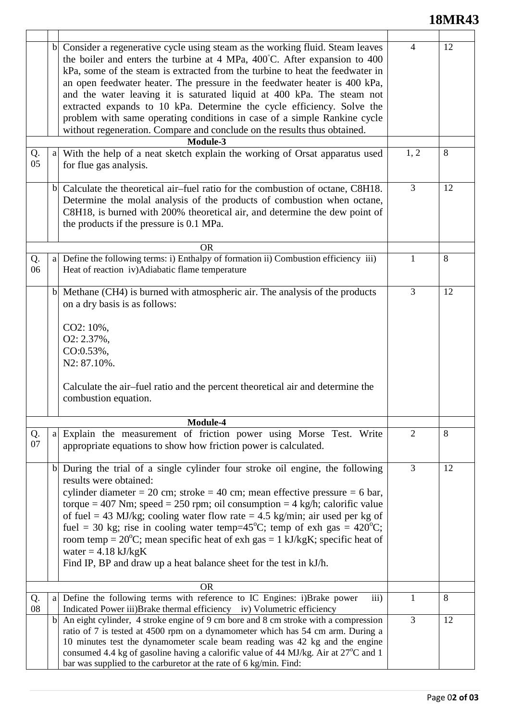## **18MR43**

|           |              | b  Consider a regenerative cycle using steam as the working fluid. Steam leaves<br>the boiler and enters the turbine at 4 MPa, 400°C. After expansion to 400<br>kPa, some of the steam is extracted from the turbine to heat the feedwater in<br>an open feedwater heater. The pressure in the feedwater heater is 400 kPa,<br>and the water leaving it is saturated liquid at 400 kPa. The steam not<br>extracted expands to 10 kPa. Determine the cycle efficiency. Solve the<br>problem with same operating conditions in case of a simple Rankine cycle<br>without regeneration. Compare and conclude on the results thus obtained.<br>Module-3 | $\overline{4}$ | 12 |
|-----------|--------------|-----------------------------------------------------------------------------------------------------------------------------------------------------------------------------------------------------------------------------------------------------------------------------------------------------------------------------------------------------------------------------------------------------------------------------------------------------------------------------------------------------------------------------------------------------------------------------------------------------------------------------------------------------|----------------|----|
| Q.<br>05  | a            | With the help of a neat sketch explain the working of Orsat apparatus used<br>for flue gas analysis.                                                                                                                                                                                                                                                                                                                                                                                                                                                                                                                                                | 1, 2           | 8  |
|           | $\mathbf{b}$ | Calculate the theoretical air-fuel ratio for the combustion of octane, C8H18.<br>Determine the molal analysis of the products of combustion when octane,<br>C8H18, is burned with 200% theoretical air, and determine the dew point of<br>the products if the pressure is 0.1 MPa.                                                                                                                                                                                                                                                                                                                                                                  | $\overline{3}$ | 12 |
|           |              | <b>OR</b>                                                                                                                                                                                                                                                                                                                                                                                                                                                                                                                                                                                                                                           |                |    |
| Q.<br>06  | a            | Define the following terms: i) Enthalpy of formation ii) Combustion efficiency iii)<br>Heat of reaction iv)Adiabatic flame temperature                                                                                                                                                                                                                                                                                                                                                                                                                                                                                                              | 1              | 8  |
|           | $\mathbf{b}$ | Methane (CH4) is burned with atmospheric air. The analysis of the products<br>on a dry basis is as follows:<br>CO2: 10%,<br>O2: 2.37%,<br>CO:0.53%,<br>N2: 87.10%.<br>Calculate the air-fuel ratio and the percent theoretical air and determine the<br>combustion equation.                                                                                                                                                                                                                                                                                                                                                                        | $\overline{3}$ | 12 |
| Module-4  |              |                                                                                                                                                                                                                                                                                                                                                                                                                                                                                                                                                                                                                                                     |                |    |
| Q.<br>07  | a            | Explain the measurement of friction power using Morse Test. Write<br>appropriate equations to show how friction power is calculated.                                                                                                                                                                                                                                                                                                                                                                                                                                                                                                                | $\overline{2}$ | 8  |
|           |              | b During the trial of a single cylinder four stroke oil engine, the following<br>results were obtained:<br>cylinder diameter = 20 cm; stroke = 40 cm; mean effective pressure = 6 bar,<br>torque = 407 Nm; speed = 250 rpm; oil consumption = 4 kg/h; calorific value<br>of fuel = 43 MJ/kg; cooling water flow rate = 4.5 kg/min; air used per kg of<br>fuel = 30 kg; rise in cooling water temp=45°C; temp of exh gas = $420^{\circ}$ C;<br>room temp = $20^{\circ}$ C; mean specific heat of exh gas = 1 kJ/kgK; specific heat of<br>water = $4.18 \text{ kJ/kgK}$<br>Find IP, BP and draw up a heat balance sheet for the test in kJ/h.         | $\overline{3}$ | 12 |
| <b>OR</b> |              |                                                                                                                                                                                                                                                                                                                                                                                                                                                                                                                                                                                                                                                     |                |    |
| Q.<br>08  | a            | Define the following terms with reference to IC Engines: i)Brake power<br>iii)<br>Indicated Power iii) Brake thermal efficiency iv) Volumetric efficiency                                                                                                                                                                                                                                                                                                                                                                                                                                                                                           | $\mathbf{1}$   | 8  |
|           | $\mathbf{b}$ | An eight cylinder, 4 stroke engine of 9 cm bore and 8 cm stroke with a compression<br>ratio of 7 is tested at 4500 rpm on a dynamometer which has 54 cm arm. During a<br>10 minutes test the dynamometer scale beam reading was 42 kg and the engine<br>consumed 4.4 kg of gasoline having a calorific value of 44 MJ/kg. Air at $27^{\circ}$ C and 1<br>bar was supplied to the carburetor at the rate of 6 kg/min. Find:                                                                                                                                                                                                                          | $\overline{3}$ | 12 |